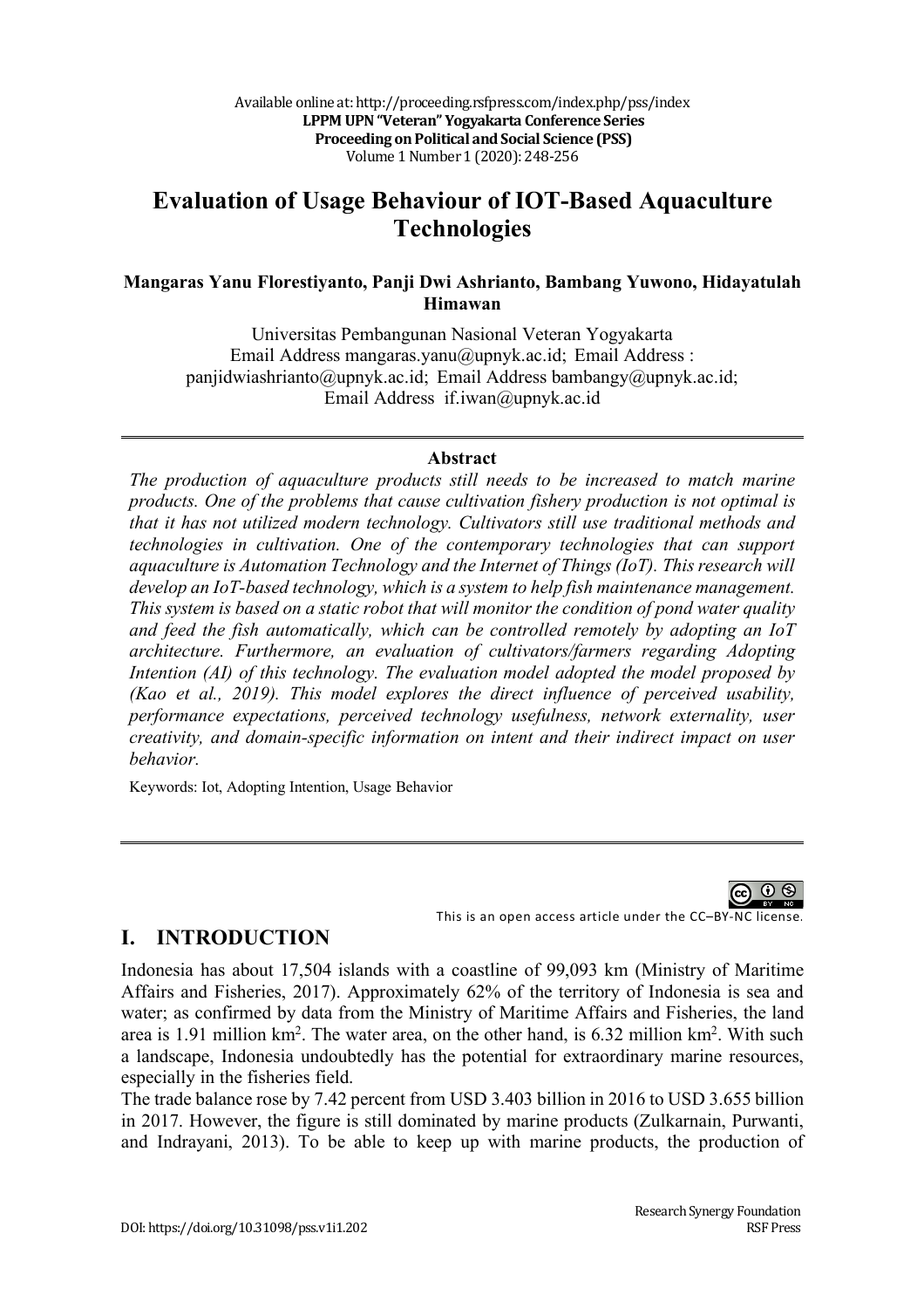# **Evaluation of Usage Behaviour of IOT-Based Aquaculture Technologies**

#### **Mangaras Yanu Florestiyanto, Panji Dwi Ashrianto, Bambang Yuwono, Hidayatulah Himawan**

Universitas Pembangunan Nasional Veteran Yogyakarta Email Address mangaras.yanu@upnyk.ac.id; Email Address : panjidwiashrianto@upnyk.ac.id; Email Address bambangy@upnyk.ac.id; Email Address if.iwan@upnyk.ac.id

#### **Abstract**

*The production of aquaculture products still needs to be increased to match marine products. One of the problems that cause cultivation fishery production is not optimal is that it has not utilized modern technology. Cultivators still use traditional methods and technologies in cultivation. One of the contemporary technologies that can support aquaculture is Automation Technology and the Internet of Things (IoT). This research will develop an IoT-based technology, which is a system to help fish maintenance management. This system is based on a static robot that will monitor the condition of pond water quality and feed the fish automatically, which can be controlled remotely by adopting an IoT architecture. Furthermore, an evaluation of cultivators/farmers regarding Adopting Intention (AI) of this technology. The evaluation model adopted the model proposed by (Kao et al., 2019). This model explores the direct influence of perceived usability, performance expectations, perceived technology usefulness, network externality, user creativity, and domain-specific information on intent and their indirect impact on user behavior.*

Keywords: Iot, Adopting Intention, Usage Behavior

60 Q

This is an open access article under the CC–BY-NC license.

### **I. INTRODUCTION**

Indonesia has about 17,504 islands with a coastline of 99,093 km (Ministry of Maritime Affairs and Fisheries, 2017). Approximately 62% of the territory of Indonesia is sea and water; as confirmed by data from the Ministry of Maritime Affairs and Fisheries, the land area is 1.91 million km<sup>2</sup>. The water area, on the other hand, is 6.32 million km<sup>2</sup>. With such a landscape, Indonesia undoubtedly has the potential for extraordinary marine resources, especially in the fisheries field.

The trade balance rose by 7.42 percent from USD 3.403 billion in 2016 to USD 3.655 billion in 2017. However, the figure is still dominated by marine products (Zulkarnain, Purwanti, and Indrayani, 2013). To be able to keep up with marine products, the production of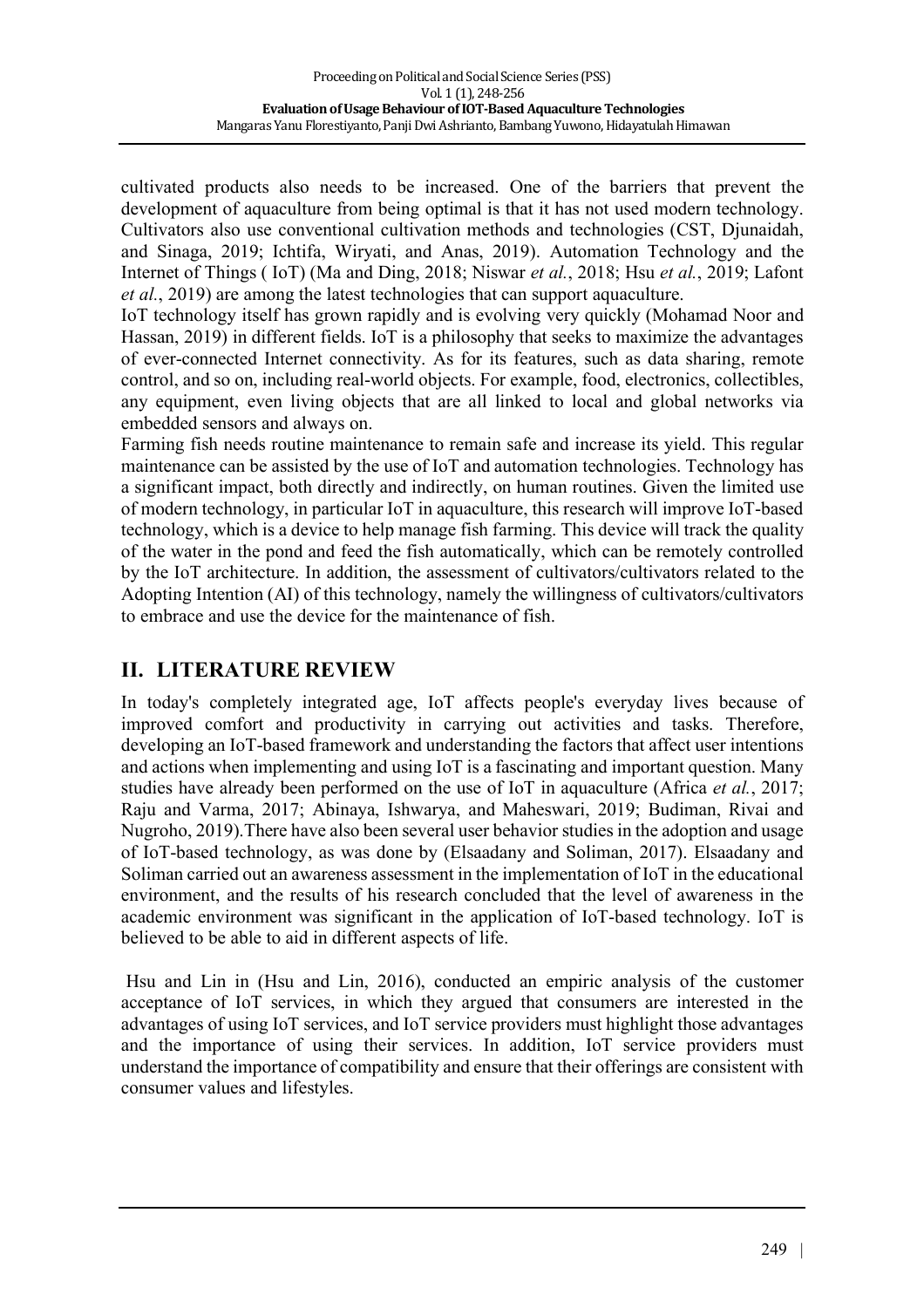cultivated products also needs to be increased. One of the barriers that prevent the development of aquaculture from being optimal is that it has not used modern technology. Cultivators also use conventional cultivation methods and technologies (CST, Djunaidah, and Sinaga, 2019; Ichtifa, Wiryati, and Anas, 2019). Automation Technology and the Internet of Things ( IoT) (Ma and Ding, 2018; Niswar *et al.*, 2018; Hsu *et al.*, 2019; Lafont *et al.*, 2019) are among the latest technologies that can support aquaculture.

IoT technology itself has grown rapidly and is evolving very quickly (Mohamad Noor and Hassan, 2019) in different fields. IoT is a philosophy that seeks to maximize the advantages of ever-connected Internet connectivity. As for its features, such as data sharing, remote control, and so on, including real-world objects. For example, food, electronics, collectibles, any equipment, even living objects that are all linked to local and global networks via embedded sensors and always on.

Farming fish needs routine maintenance to remain safe and increase its yield. This regular maintenance can be assisted by the use of IoT and automation technologies. Technology has a significant impact, both directly and indirectly, on human routines. Given the limited use of modern technology, in particular IoT in aquaculture, this research will improve IoT-based technology, which is a device to help manage fish farming. This device will track the quality of the water in the pond and feed the fish automatically, which can be remotely controlled by the IoT architecture. In addition, the assessment of cultivators/cultivators related to the Adopting Intention (AI) of this technology, namely the willingness of cultivators/cultivators to embrace and use the device for the maintenance of fish.

# **II. LITERATURE REVIEW**

In today's completely integrated age, IoT affects people's everyday lives because of improved comfort and productivity in carrying out activities and tasks. Therefore, developing an IoT-based framework and understanding the factors that affect user intentions and actions when implementing and using IoT is a fascinating and important question. Many studies have already been performed on the use of IoT in aquaculture (Africa *et al.*, 2017; Raju and Varma, 2017; Abinaya, Ishwarya, and Maheswari, 2019; Budiman, Rivai and Nugroho, 2019).There have also been several user behavior studies in the adoption and usage of IoT-based technology, as was done by (Elsaadany and Soliman, 2017). Elsaadany and Soliman carried out an awareness assessment in the implementation of IoT in the educational environment, and the results of his research concluded that the level of awareness in the academic environment was significant in the application of IoT-based technology. IoT is believed to be able to aid in different aspects of life.

Hsu and Lin in (Hsu and Lin, 2016), conducted an empiric analysis of the customer acceptance of IoT services, in which they argued that consumers are interested in the advantages of using IoT services, and IoT service providers must highlight those advantages and the importance of using their services. In addition, IoT service providers must understand the importance of compatibility and ensure that their offerings are consistent with consumer values and lifestyles.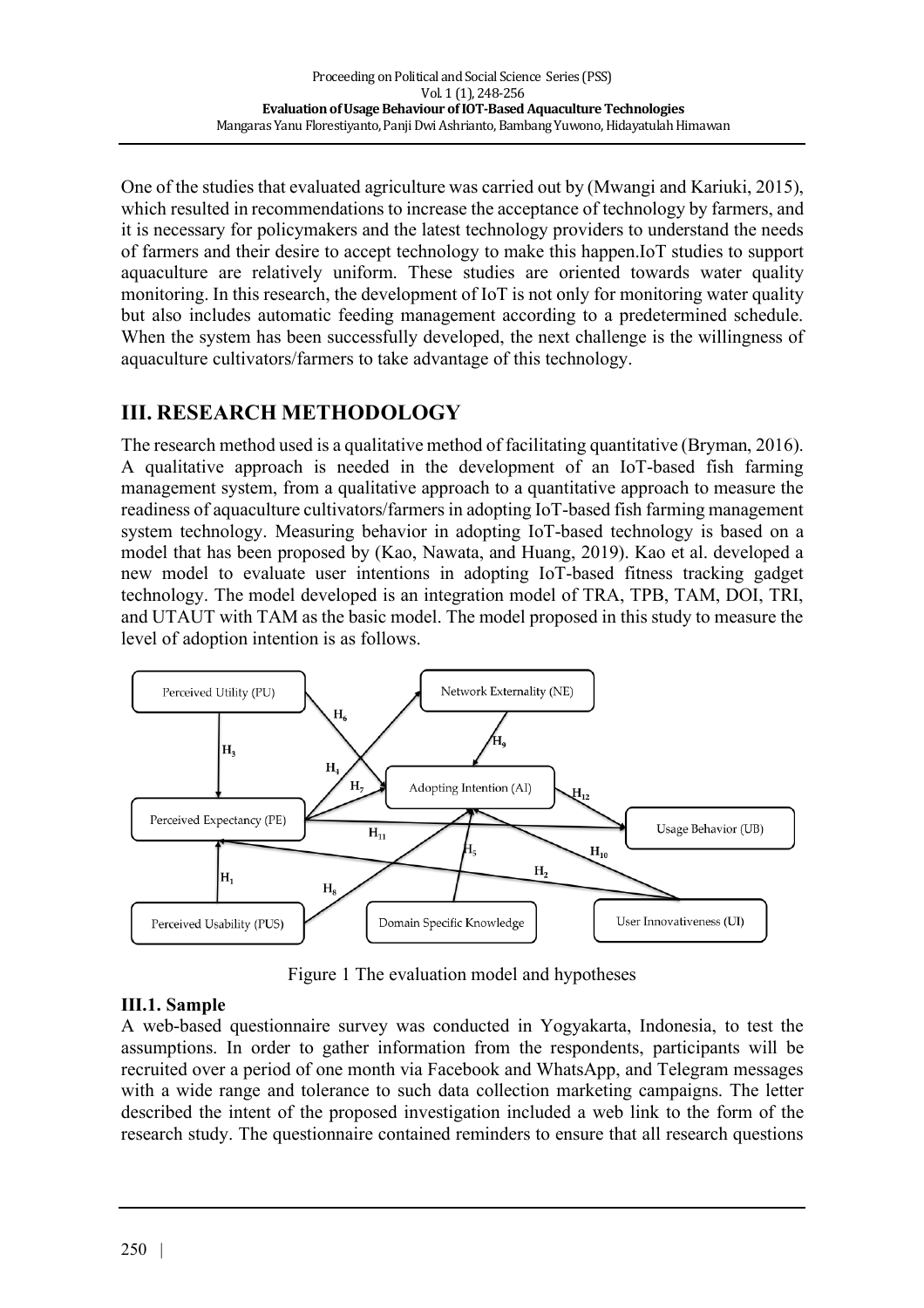One of the studies that evaluated agriculture was carried out by (Mwangi and Kariuki, 2015), which resulted in recommendations to increase the acceptance of technology by farmers, and it is necessary for policymakers and the latest technology providers to understand the needs of farmers and their desire to accept technology to make this happen.IoT studies to support aquaculture are relatively uniform. These studies are oriented towards water quality monitoring. In this research, the development of IoT is not only for monitoring water quality but also includes automatic feeding management according to a predetermined schedule. When the system has been successfully developed, the next challenge is the willingness of aquaculture cultivators/farmers to take advantage of this technology.

## **III. RESEARCH METHODOLOGY**

The research method used is a qualitative method of facilitating quantitative (Bryman, 2016). A qualitative approach is needed in the development of an IoT-based fish farming management system, from a qualitative approach to a quantitative approach to measure the readiness of aquaculture cultivators/farmers in adopting IoT-based fish farming management system technology. Measuring behavior in adopting IoT-based technology is based on a model that has been proposed by (Kao, Nawata, and Huang, 2019). Kao et al. developed a new model to evaluate user intentions in adopting IoT-based fitness tracking gadget technology. The model developed is an integration model of TRA, TPB, TAM, DOI, TRI, and UTAUT with TAM as the basic model. The model proposed in this study to measure the level of adoption intention is as follows.



Figure 1 The evaluation model and hypotheses

### **III.1. Sample**

A web-based questionnaire survey was conducted in Yogyakarta, Indonesia, to test the assumptions. In order to gather information from the respondents, participants will be recruited over a period of one month via Facebook and WhatsApp, and Telegram messages with a wide range and tolerance to such data collection marketing campaigns. The letter described the intent of the proposed investigation included a web link to the form of the research study. The questionnaire contained reminders to ensure that all research questions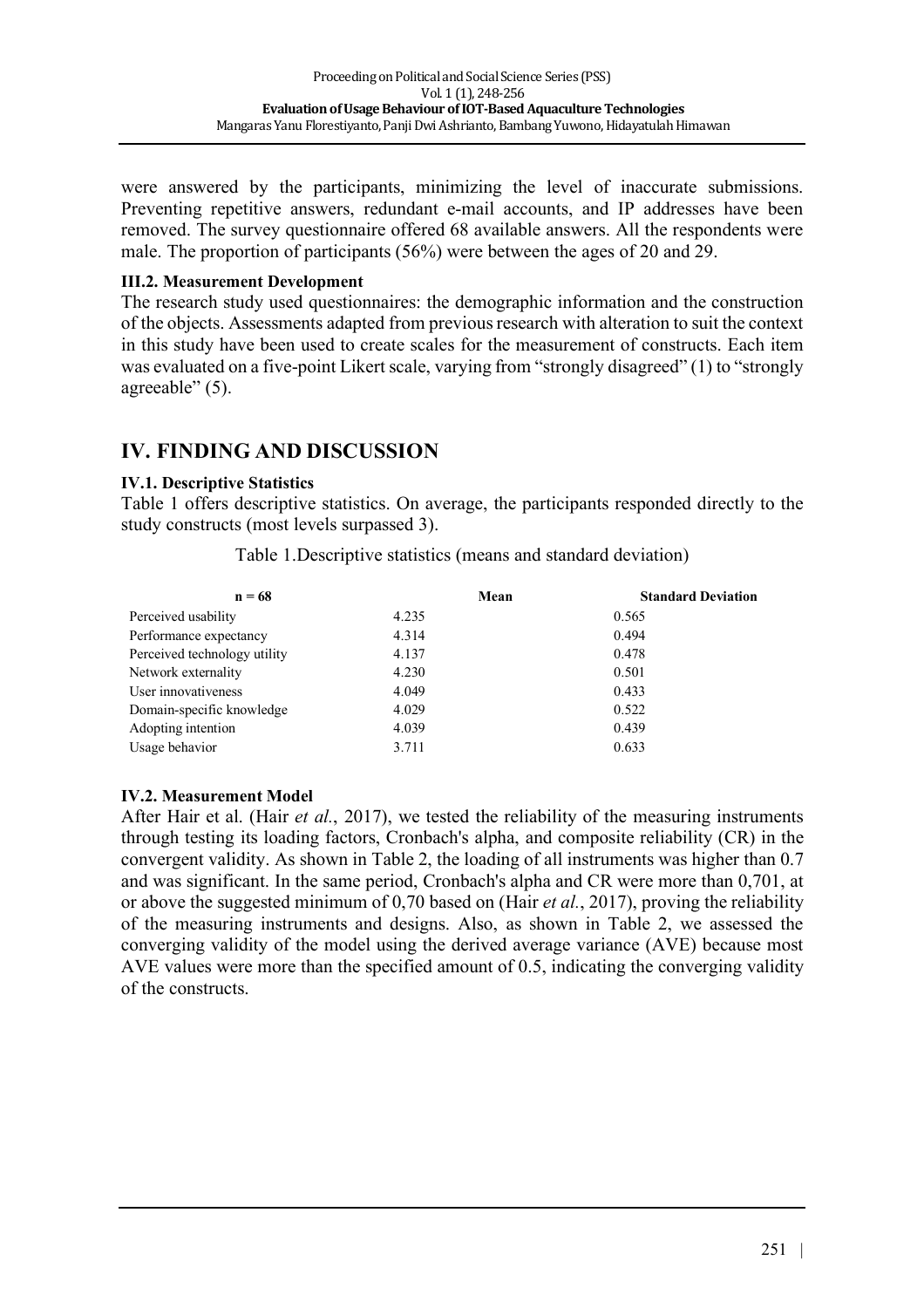were answered by the participants, minimizing the level of inaccurate submissions. Preventing repetitive answers, redundant e-mail accounts, and IP addresses have been removed. The survey questionnaire offered 68 available answers. All the respondents were male. The proportion of participants (56%) were between the ages of 20 and 29.

#### **III.2. Measurement Development**

The research study used questionnaires: the demographic information and the construction of the objects. Assessments adapted from previous research with alteration to suit the context in this study have been used to create scales for the measurement of constructs. Each item was evaluated on a five-point Likert scale, varying from "strongly disagreed" (1) to "strongly agreeable" (5).

### **IV. FINDING AND DISCUSSION**

#### **IV.1. Descriptive Statistics**

Table 1 offers descriptive statistics. On average, the participants responded directly to the study constructs (most levels surpassed 3).

Table 1.Descriptive statistics (means and standard deviation)

| $n = 68$                     | Mean  | <b>Standard Deviation</b> |
|------------------------------|-------|---------------------------|
| Perceived usability          | 4.235 | 0.565                     |
| Performance expectancy       | 4.314 | 0.494                     |
| Perceived technology utility | 4.137 | 0.478                     |
| Network externality          | 4.230 | 0.501                     |
| User innovativeness          | 4.049 | 0.433                     |
| Domain-specific knowledge    | 4.029 | 0.522                     |
| Adopting intention           | 4.039 | 0.439                     |
| Usage behavior               | 3.711 | 0.633                     |

#### **IV.2. Measurement Model**

After Hair et al. (Hair *et al.*, 2017), we tested the reliability of the measuring instruments through testing its loading factors, Cronbach's alpha, and composite reliability (CR) in the convergent validity. As shown in Table 2, the loading of all instruments was higher than 0.7 and was significant. In the same period, Cronbach's alpha and CR were more than 0,701, at or above the suggested minimum of 0,70 based on (Hair *et al.*, 2017), proving the reliability of the measuring instruments and designs. Also, as shown in Table 2, we assessed the converging validity of the model using the derived average variance (AVE) because most AVE values were more than the specified amount of 0.5, indicating the converging validity of the constructs.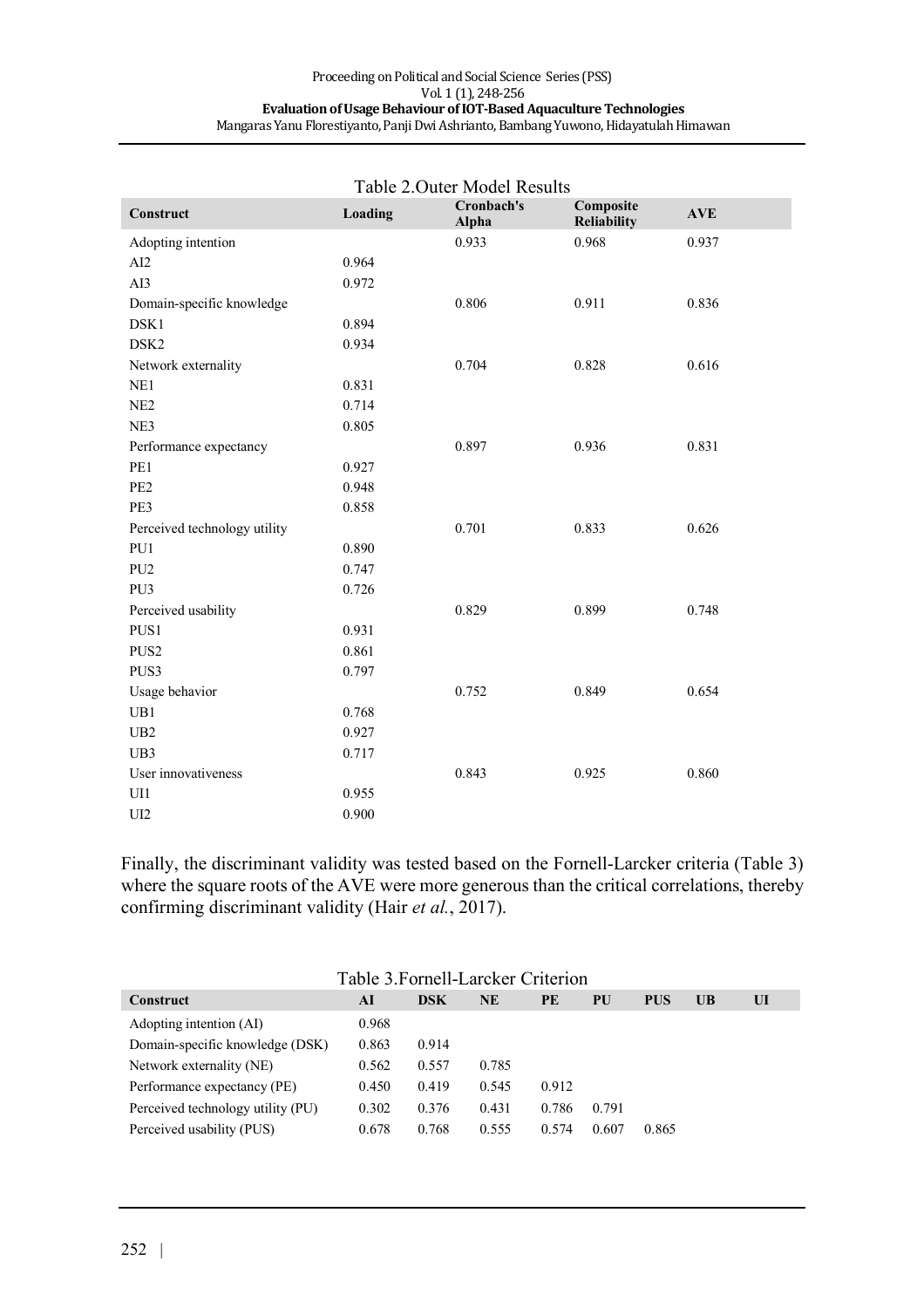| Table 2. Outer Model Results |         |                     |                                 |            |  |  |  |  |
|------------------------------|---------|---------------------|---------------------------------|------------|--|--|--|--|
| Construct                    | Loading | Cronbach's<br>Alpha | Composite<br><b>Reliability</b> | <b>AVE</b> |  |  |  |  |
| Adopting intention           |         | 0.933               | 0.968                           | 0.937      |  |  |  |  |
| AI2                          | 0.964   |                     |                                 |            |  |  |  |  |
| AI3                          | 0.972   |                     |                                 |            |  |  |  |  |
| Domain-specific knowledge    |         | 0.806               | 0.911                           | 0.836      |  |  |  |  |
| DSK1                         | 0.894   |                     |                                 |            |  |  |  |  |
| DSK <sub>2</sub>             | 0.934   |                     |                                 |            |  |  |  |  |
| Network externality          |         | 0.704               | 0.828                           | 0.616      |  |  |  |  |
| NE1                          | 0.831   |                     |                                 |            |  |  |  |  |
| NE <sub>2</sub>              | 0.714   |                     |                                 |            |  |  |  |  |
| NE3                          | 0.805   |                     |                                 |            |  |  |  |  |
| Performance expectancy       |         | 0.897               | 0.936                           | 0.831      |  |  |  |  |
| PE1                          | 0.927   |                     |                                 |            |  |  |  |  |
| PE <sub>2</sub>              | 0.948   |                     |                                 |            |  |  |  |  |
| PE3                          | 0.858   |                     |                                 |            |  |  |  |  |
| Perceived technology utility |         | 0.701               | 0.833                           | 0.626      |  |  |  |  |
| PU1                          | 0.890   |                     |                                 |            |  |  |  |  |
| PU <sub>2</sub>              | 0.747   |                     |                                 |            |  |  |  |  |
| PU3                          | 0.726   |                     |                                 |            |  |  |  |  |
| Perceived usability          |         | 0.829               | 0.899                           | 0.748      |  |  |  |  |
| PUS1                         | 0.931   |                     |                                 |            |  |  |  |  |
| PUS <sub>2</sub>             | 0.861   |                     |                                 |            |  |  |  |  |
| PUS3                         | 0.797   |                     |                                 |            |  |  |  |  |
| Usage behavior               |         | 0.752               | 0.849                           | 0.654      |  |  |  |  |
| UB1                          | 0.768   |                     |                                 |            |  |  |  |  |
| UB2                          | 0.927   |                     |                                 |            |  |  |  |  |
| UB3                          | 0.717   |                     |                                 |            |  |  |  |  |
| User innovativeness          |         | 0.843               | 0.925                           | 0.860      |  |  |  |  |
| U11                          | 0.955   |                     |                                 |            |  |  |  |  |
| UI2                          | 0.900   |                     |                                 |            |  |  |  |  |

Finally, the discriminant validity was tested based on the Fornell-Larcker criteria (Table 3) where the square roots of the AVE were more generous than the critical correlations, thereby confirming discriminant validity (Hair *et al.*, 2017).

| Table 3. Fornell-Larcker Criterion |       |            |       |       |       |            |           |    |
|------------------------------------|-------|------------|-------|-------|-------|------------|-----------|----|
| Construct                          | AI    | <b>DSK</b> | NE    | PE    | PU    | <b>PUS</b> | <b>UB</b> | UI |
| Adopting intention (AI)            | 0.968 |            |       |       |       |            |           |    |
| Domain-specific knowledge (DSK)    | 0.863 | 0.914      |       |       |       |            |           |    |
| Network externality (NE)           | 0.562 | 0.557      | 0.785 |       |       |            |           |    |
| Performance expectancy (PE)        | 0.450 | 0.419      | 0.545 | 0.912 |       |            |           |    |
| Perceived technology utility (PU)  | 0.302 | 0.376      | 0.431 | 0.786 | 0.791 |            |           |    |
| Perceived usability (PUS)          | 0.678 | 0.768      | 0.555 | 0.574 | 0.607 | 0.865      |           |    |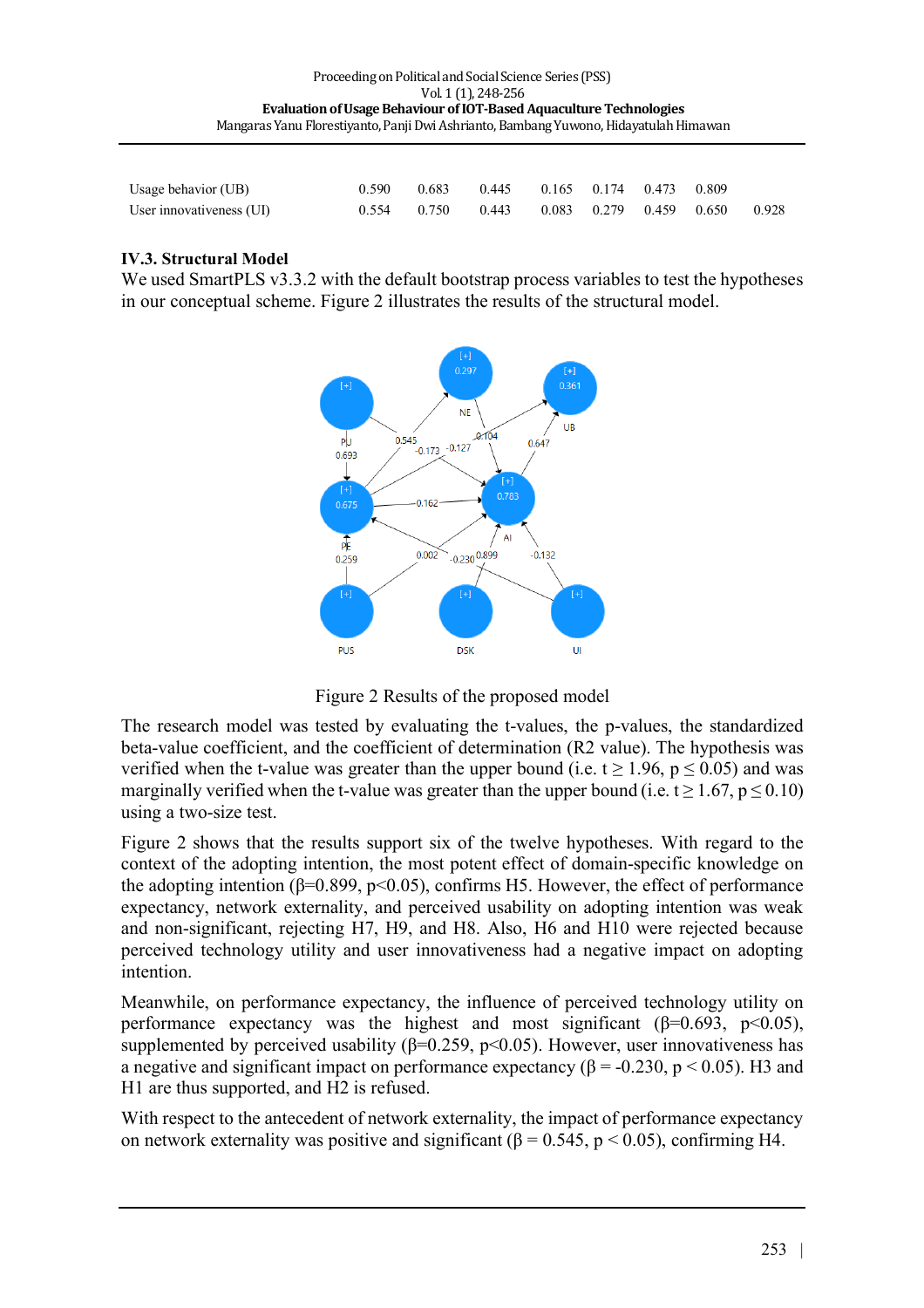|                          | 0.590 | 0.683 | $0.445$ $0.165$ $0.174$ $0.473$ $0.809$ |                         |  |       |
|--------------------------|-------|-------|-----------------------------------------|-------------------------|--|-------|
| Usage behavior (UB)      |       |       |                                         |                         |  |       |
| User innovativeness (UI) | 0.554 | 0.750 | 0.443                                   | 0.083 0.279 0.459 0.650 |  | 0.928 |

#### **IV.3. Structural Model**

We used SmartPLS v3.3.2 with the default bootstrap process variables to test the hypotheses in our conceptual scheme. Figure 2 illustrates the results of the structural model.



Figure 2 Results of the proposed model

The research model was tested by evaluating the t-values, the p-values, the standardized beta-value coefficient, and the coefficient of determination (R2 value). The hypothesis was verified when the t-value was greater than the upper bound (i.e.  $t \ge 1.96$ ,  $p \le 0.05$ ) and was marginally verified when the t-value was greater than the upper bound (i.e.  $t > 1.67$ ,  $p < 0.10$ ) using a two-size test.

Figure 2 shows that the results support six of the twelve hypotheses. With regard to the context of the adopting intention, the most potent effect of domain-specific knowledge on the adopting intention (β=0.899, p<0.05), confirms H5. However, the effect of performance expectancy, network externality, and perceived usability on adopting intention was weak and non-significant, rejecting H7, H9, and H8. Also, H6 and H10 were rejected because perceived technology utility and user innovativeness had a negative impact on adopting intention.

Meanwhile, on performance expectancy, the influence of perceived technology utility on performance expectancy was the highest and most significant ( $\beta$ =0.693, p<0.05), supplemented by perceived usability ( $\beta$ =0.259, p<0.05). However, user innovativeness has a negative and significant impact on performance expectancy ( $\beta$  = -0.230, p < 0.05). H3 and H1 are thus supported, and H2 is refused.

With respect to the antecedent of network externality, the impact of performance expectancy on network externality was positive and significant ( $\beta$  = 0.545, p < 0.05), confirming H4.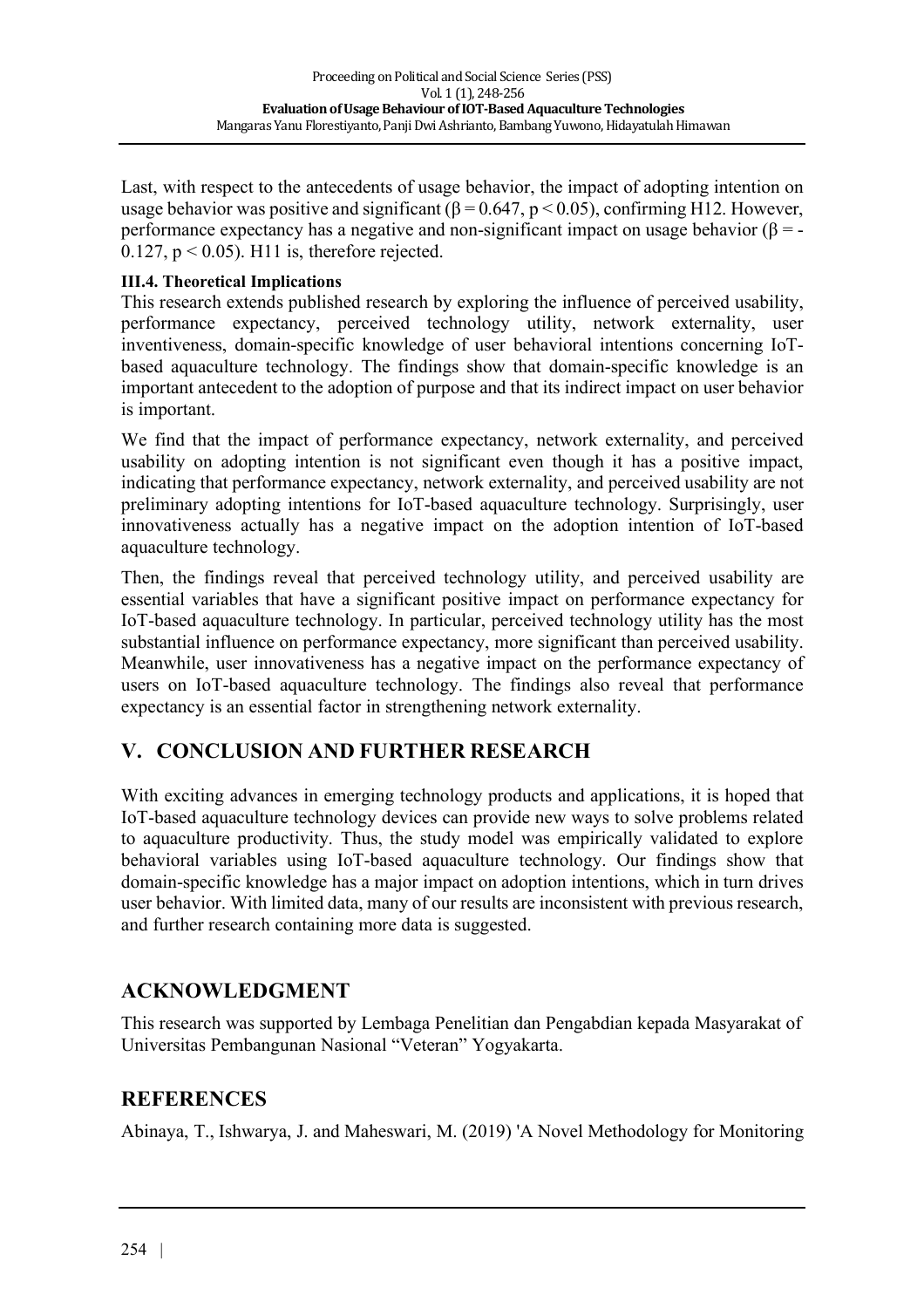Last, with respect to the antecedents of usage behavior, the impact of adopting intention on usage behavior was positive and significant ( $\beta$  = 0.647, p < 0.05), confirming H12. However, performance expectancy has a negative and non-significant impact on usage behavior ( $\beta$  = -0.127,  $p < 0.05$ ). H11 is, therefore rejected.

#### **III.4. Theoretical Implications**

This research extends published research by exploring the influence of perceived usability, performance expectancy, perceived technology utility, network externality, user inventiveness, domain-specific knowledge of user behavioral intentions concerning IoTbased aquaculture technology. The findings show that domain-specific knowledge is an important antecedent to the adoption of purpose and that its indirect impact on user behavior is important.

We find that the impact of performance expectancy, network externality, and perceived usability on adopting intention is not significant even though it has a positive impact, indicating that performance expectancy, network externality, and perceived usability are not preliminary adopting intentions for IoT-based aquaculture technology. Surprisingly, user innovativeness actually has a negative impact on the adoption intention of IoT-based aquaculture technology.

Then, the findings reveal that perceived technology utility, and perceived usability are essential variables that have a significant positive impact on performance expectancy for IoT-based aquaculture technology. In particular, perceived technology utility has the most substantial influence on performance expectancy, more significant than perceived usability. Meanwhile, user innovativeness has a negative impact on the performance expectancy of users on IoT-based aquaculture technology. The findings also reveal that performance expectancy is an essential factor in strengthening network externality.

### **V. CONCLUSION AND FURTHER RESEARCH**

With exciting advances in emerging technology products and applications, it is hoped that IoT-based aquaculture technology devices can provide new ways to solve problems related to aquaculture productivity. Thus, the study model was empirically validated to explore behavioral variables using IoT-based aquaculture technology. Our findings show that domain-specific knowledge has a major impact on adoption intentions, which in turn drives user behavior. With limited data, many of our results are inconsistent with previous research, and further research containing more data is suggested.

### **ACKNOWLEDGMENT**

This research was supported by Lembaga Penelitian dan Pengabdian kepada Masyarakat of Universitas Pembangunan Nasional "Veteran" Yogyakarta.

### **REFERENCES**

Abinaya, T., Ishwarya, J. and Maheswari, M. (2019) 'A Novel Methodology for Monitoring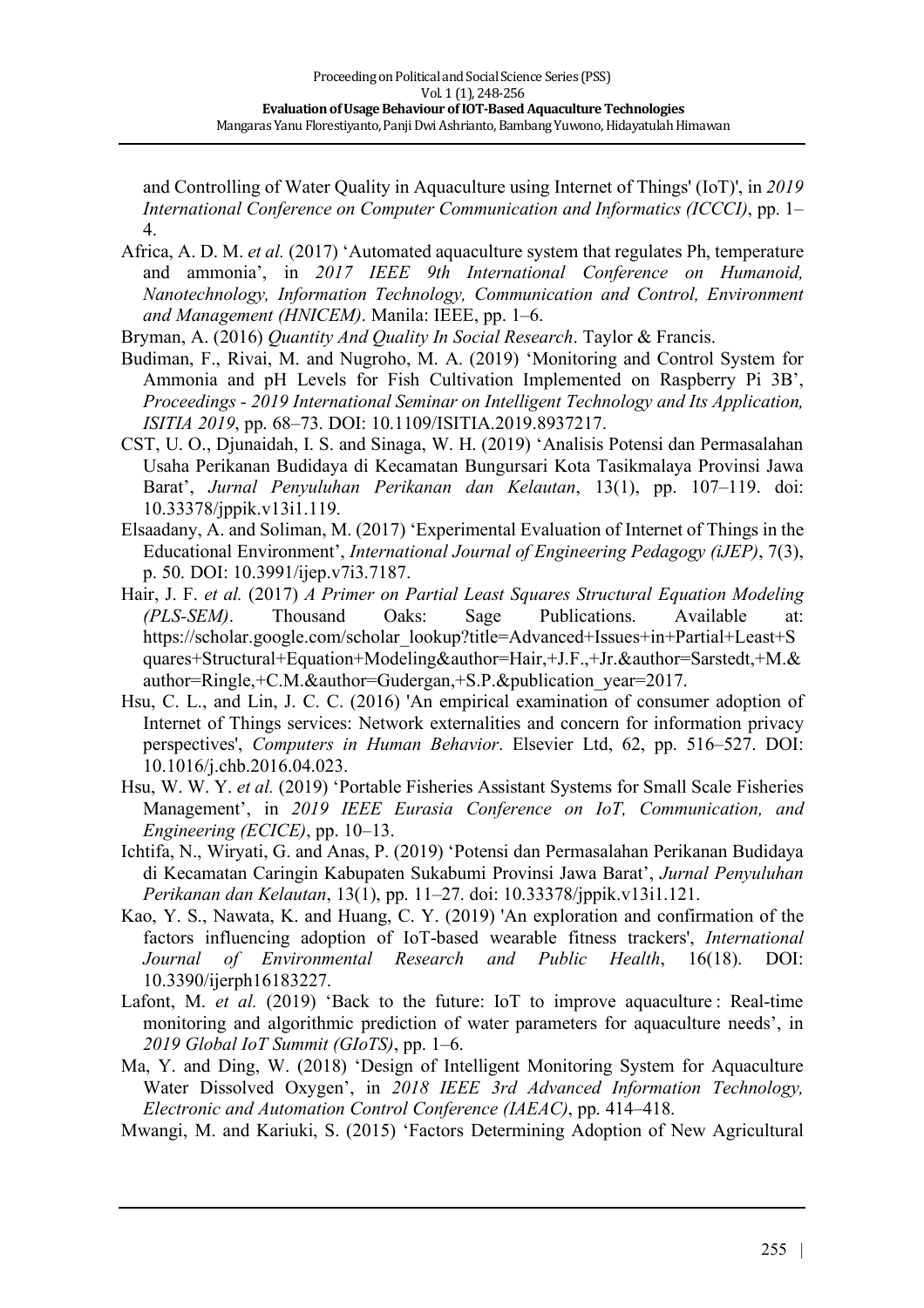and Controlling of Water Quality in Aquaculture using Internet of Things' (IoT)', in *2019 International Conference on Computer Communication and Informatics (ICCCI)*, pp. 1– 4.

Africa, A. D. M. *et al.* (2017) 'Automated aquaculture system that regulates Ph, temperature and ammonia', in *2017 IEEE 9th International Conference on Humanoid, Nanotechnology, Information Technology, Communication and Control, Environment and Management (HNICEM)*. Manila: IEEE, pp. 1–6.

Bryman, A. (2016) *Quantity And Quality In Social Research*. Taylor & Francis.

- Budiman, F., Rivai, M. and Nugroho, M. A. (2019) 'Monitoring and Control System for Ammonia and pH Levels for Fish Cultivation Implemented on Raspberry Pi 3B', *Proceedings - 2019 International Seminar on Intelligent Technology and Its Application, ISITIA 2019*, pp. 68–73. DOI: 10.1109/ISITIA.2019.8937217.
- CST, U. O., Djunaidah, I. S. and Sinaga, W. H. (2019) 'Analisis Potensi dan Permasalahan Usaha Perikanan Budidaya di Kecamatan Bungursari Kota Tasikmalaya Provinsi Jawa Barat', *Jurnal Penyuluhan Perikanan dan Kelautan*, 13(1), pp. 107–119. doi: 10.33378/jppik.v13i1.119.
- Elsaadany, A. and Soliman, M. (2017) 'Experimental Evaluation of Internet of Things in the Educational Environment', *International Journal of Engineering Pedagogy (iJEP)*, 7(3), p. 50. DOI: 10.3991/ijep.v7i3.7187.
- Hair, J. F. *et al.* (2017) *A Primer on Partial Least Squares Structural Equation Modeling (PLS-SEM)*. Thousand Oaks: Sage Publications. Available at: https://scholar.google.com/scholar\_lookup?title=Advanced+Issues+in+Partial+Least+S quares+Structural+Equation+Modeling&author=Hair,+J.F.,+Jr.&author=Sarstedt,+M.& author=Ringle,+C.M.&author=Gudergan,+S.P.&publication\_year=2017.
- Hsu, C. L., and Lin, J. C. C. (2016) 'An empirical examination of consumer adoption of Internet of Things services: Network externalities and concern for information privacy perspectives', *Computers in Human Behavior*. Elsevier Ltd, 62, pp. 516–527. DOI: 10.1016/j.chb.2016.04.023.
- Hsu, W. W. Y. *et al.* (2019) 'Portable Fisheries Assistant Systems for Small Scale Fisheries Management', in *2019 IEEE Eurasia Conference on IoT, Communication, and Engineering (ECICE)*, pp. 10–13.
- Ichtifa, N., Wiryati, G. and Anas, P. (2019) 'Potensi dan Permasalahan Perikanan Budidaya di Kecamatan Caringin Kabupaten Sukabumi Provinsi Jawa Barat', *Jurnal Penyuluhan Perikanan dan Kelautan*, 13(1), pp. 11–27. doi: 10.33378/jppik.v13i1.121.
- Kao, Y. S., Nawata, K. and Huang, C. Y. (2019) 'An exploration and confirmation of the factors influencing adoption of IoT-based wearable fitness trackers', *International Journal of Environmental Research and Public Health*, 16(18). DOI: 10.3390/ijerph16183227.
- Lafont, M. *et al.* (2019) 'Back to the future: IoT to improve aquaculture: Real-time monitoring and algorithmic prediction of water parameters for aquaculture needs', in *2019 Global IoT Summit (GIoTS)*, pp. 1–6.
- Ma, Y. and Ding, W. (2018) 'Design of Intelligent Monitoring System for Aquaculture Water Dissolved Oxygen', in *2018 IEEE 3rd Advanced Information Technology, Electronic and Automation Control Conference (IAEAC)*, pp. 414–418.

Mwangi, M. and Kariuki, S. (2015) 'Factors Determining Adoption of New Agricultural